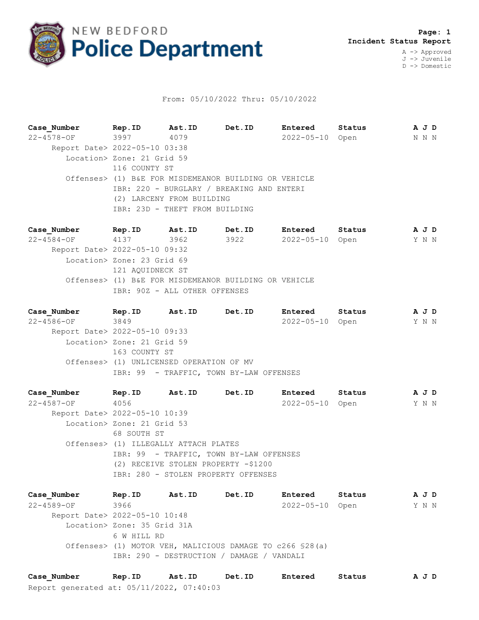

## From: 05/10/2022 Thru: 05/10/2022

**Case\_Number Rep.ID Ast.ID Det.ID Entered Status A J D** 22-4578-OF 3997 4079 2022-05-10 Open N N N Report Date> 2022-05-10 03:38 Location> Zone: 21 Grid 59 116 COUNTY ST Offenses> (1) B&E FOR MISDEMEANOR BUILDING OR VEHICLE IBR: 220 - BURGLARY / BREAKING AND ENTERI (2) LARCENY FROM BUILDING IBR: 23D - THEFT FROM BUILDING

**Case\_Number Rep.ID Ast.ID Det.ID Entered Status A J D** 22-4584-OF 4137 3962 3922 2022-05-10 Open Y N N Report Date> 2022-05-10 09:32 Location> Zone: 23 Grid 69 121 AQUIDNECK ST Offenses> (1) B&E FOR MISDEMEANOR BUILDING OR VEHICLE IBR: 90Z - ALL OTHER OFFENSES

**Case\_Number Rep.ID Ast.ID Det.ID Entered Status A J D** 22-4586-OF 3849 2022-05-10 Open Y N N Report Date> 2022-05-10 09:33 Location> Zone: 21 Grid 59 163 COUNTY ST Offenses> (1) UNLICENSED OPERATION OF MV IBR: 99 - TRAFFIC, TOWN BY-LAW OFFENSES

**Case\_Number Rep.ID Ast.ID Det.ID Entered Status A J D** 22-4587-OF 4056 2022-05-10 Open Y N N Report Date> 2022-05-10 10:39 Location> Zone: 21 Grid 53 68 SOUTH ST Offenses> (1) ILLEGALLY ATTACH PLATES IBR: 99 - TRAFFIC, TOWN BY-LAW OFFENSES (2) RECEIVE STOLEN PROPERTY -\$1200 IBR: 280 - STOLEN PROPERTY OFFENSES

**Case\_Number Rep.ID Ast.ID Det.ID Entered Status A J D** 22-4589-OF 3966 2022-05-10 Open Y N N Report Date> 2022-05-10 10:48 Location> Zone: 35 Grid 31A 6 W HILL RD Offenses> (1) MOTOR VEH, MALICIOUS DAMAGE TO c266 §28(a) IBR: 290 - DESTRUCTION / DAMAGE / VANDALI

Report generated at: 05/11/2022, 07:40:03 **Case\_Number Rep.ID Ast.ID Det.ID Entered Status A J D**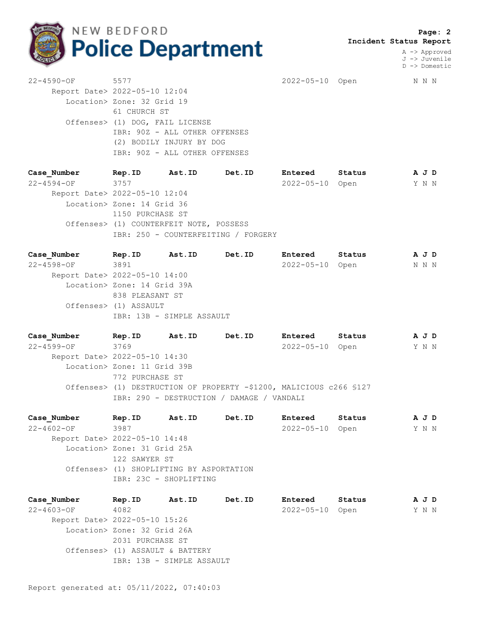

 **Page: 2 Incident Status Report**

> A -> Approved J -> Juvenile D -> Domestic

22-4590-OF 5577 2022-05-10 Open N N N Report Date> 2022-05-10 12:04 Location> Zone: 32 Grid 19 61 CHURCH ST Offenses> (1) DOG, FAIL LICENSE IBR: 90Z - ALL OTHER OFFENSES (2) BODILY INJURY BY DOG IBR: 90Z - ALL OTHER OFFENSES

**Case\_Number Rep.ID Ast.ID Det.ID Entered Status A J D** 22-4594-OF 3757 2022-05-10 Open Y N N Report Date> 2022-05-10 12:04 Location> Zone: 14 Grid 36 1150 PURCHASE ST Offenses> (1) COUNTERFEIT NOTE, POSSESS IBR: 250 - COUNTERFEITING / FORGERY

**Case\_Number Rep.ID Ast.ID Det.ID Entered Status A J D** 22-4598-OF 3891 2022-05-10 Open N N N Report Date> 2022-05-10 14:00 Location> Zone: 14 Grid 39A 838 PLEASANT ST Offenses> (1) ASSAULT IBR: 13B - SIMPLE ASSAULT

**Case\_Number Rep.ID Ast.ID Det.ID Entered Status A J D** 22-4599-OF 3769 2022-05-10 Open Y N N Report Date> 2022-05-10 14:30 Location> Zone: 11 Grid 39B 772 PURCHASE ST Offenses> (1) DESTRUCTION OF PROPERTY -\$1200, MALICIOUS c266 §127 IBR: 290 - DESTRUCTION / DAMAGE / VANDALI

**Case\_Number Rep.ID Ast.ID Det.ID Entered Status A J D** 22-4602-OF 3987 2022-05-10 Open Y N N Report Date> 2022-05-10 14:48 Location> Zone: 31 Grid 25A 122 SAWYER ST Offenses> (1) SHOPLIFTING BY ASPORTATION IBR: 23C - SHOPLIFTING

**Case\_Number Rep.ID Ast.ID Det.ID Entered Status A J D** 22-4603-OF 4082 2022-05-10 Open Y N N Report Date> 2022-05-10 15:26 Location> Zone: 32 Grid 26A 2031 PURCHASE ST Offenses> (1) ASSAULT & BATTERY IBR: 13B - SIMPLE ASSAULT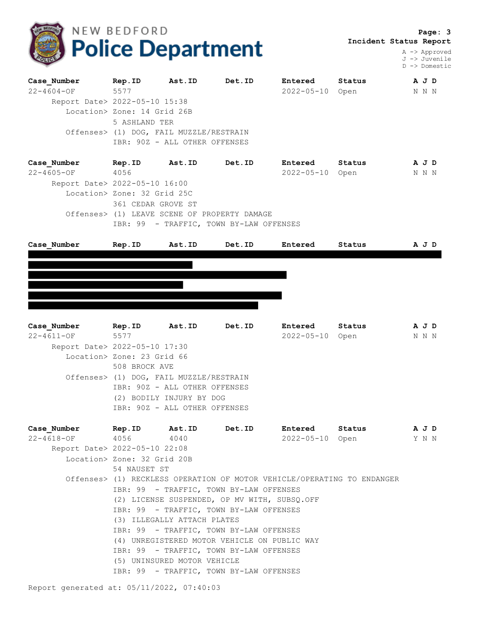

 **Page: 3 Incident Status Report**

> A -> Approved J -> Juvenile D -> Domestic

| Case Number                   | Rep.ID                                  | Ast.ID | Det.ID | Entered          | Status | A J D |  |  |  |  |
|-------------------------------|-----------------------------------------|--------|--------|------------------|--------|-------|--|--|--|--|
| $22 - 4604 - OF$              | 5577                                    |        |        | $2022 - 05 - 10$ | Open   | N N N |  |  |  |  |
|                               | Report Date> 2022-05-10 15:38           |        |        |                  |        |       |  |  |  |  |
|                               | Location> Zone: 14 Grid 26B             |        |        |                  |        |       |  |  |  |  |
|                               | 5 ASHLAND TER                           |        |        |                  |        |       |  |  |  |  |
|                               | Offenses> (1) DOG, FAIL MUZZLE/RESTRAIN |        |        |                  |        |       |  |  |  |  |
|                               | IBR: 90Z - ALL OTHER OFFENSES           |        |        |                  |        |       |  |  |  |  |
| Case Number                   | Rep.ID                                  | Ast.ID | Det.ID | Entered          | Status | A J D |  |  |  |  |
| $22 - 4605 - OF$              | 4056                                    |        |        | $2022 - 05 - 10$ | Open   | N N N |  |  |  |  |
| Report Date> 2022-05-10 16:00 |                                         |        |        |                  |        |       |  |  |  |  |
|                               |                                         |        |        |                  |        |       |  |  |  |  |

 Location> Zone: 32 Grid 25C 361 CEDAR GROVE ST Offenses> (1) LEAVE SCENE OF PROPERTY DAMAGE IBR: 99 - TRAFFIC, TOWN BY-LAW OFFENSES



**Case\_Number Rep.ID Ast.ID Det.ID Entered Status A J D** 22-4611-OF 5577 2022-05-10 Open N N N Report Date> 2022-05-10 17:30 Location> Zone: 23 Grid 66 508 BROCK AVE Offenses> (1) DOG, FAIL MUZZLE/RESTRAIN IBR: 90Z - ALL OTHER OFFENSES (2) BODILY INJURY BY DOG IBR: 90Z - ALL OTHER OFFENSES

| Case Number                   | Rep. ID Ast. ID Det. ID     |                             |                                              | Entered         | Status                                                                  | AJD |  |  |  |
|-------------------------------|-----------------------------|-----------------------------|----------------------------------------------|-----------------|-------------------------------------------------------------------------|-----|--|--|--|
| 22-4618-OF 4056 4040          |                             |                             |                                              | 2022-05-10 Open | Y N N                                                                   |     |  |  |  |
| Report Date> 2022-05-10 22:08 |                             |                             |                                              |                 |                                                                         |     |  |  |  |
|                               | Location> Zone: 32 Grid 20B |                             |                                              |                 |                                                                         |     |  |  |  |
|                               | 54 NAUSET ST                |                             |                                              |                 |                                                                         |     |  |  |  |
|                               |                             |                             |                                              |                 | Offenses> (1) RECKLESS OPERATION OF MOTOR VEHICLE/OPERATING TO ENDANGER |     |  |  |  |
|                               |                             |                             | IBR: 99 - TRAFFIC, TOWN BY-LAW OFFENSES      |                 |                                                                         |     |  |  |  |
|                               |                             |                             | (2) LICENSE SUSPENDED, OP MV WITH, SUBSO.OFF |                 |                                                                         |     |  |  |  |
|                               |                             |                             | IBR: 99 - TRAFFIC, TOWN BY-LAW OFFENSES      |                 |                                                                         |     |  |  |  |
|                               | (3) ILLEGALLY ATTACH PLATES |                             |                                              |                 |                                                                         |     |  |  |  |
|                               |                             |                             | IBR: 99 - TRAFFIC, TOWN BY-LAW OFFENSES      |                 |                                                                         |     |  |  |  |
|                               |                             |                             | (4) UNREGISTERED MOTOR VEHICLE ON PUBLIC WAY |                 |                                                                         |     |  |  |  |
|                               |                             |                             | IBR: 99 - TRAFFIC, TOWN BY-LAW OFFENSES      |                 |                                                                         |     |  |  |  |
|                               |                             | (5) UNINSURED MOTOR VEHICLE |                                              |                 |                                                                         |     |  |  |  |
|                               |                             |                             | IBR: 99 - TRAFFIC, TOWN BY-LAW OFFENSES      |                 |                                                                         |     |  |  |  |